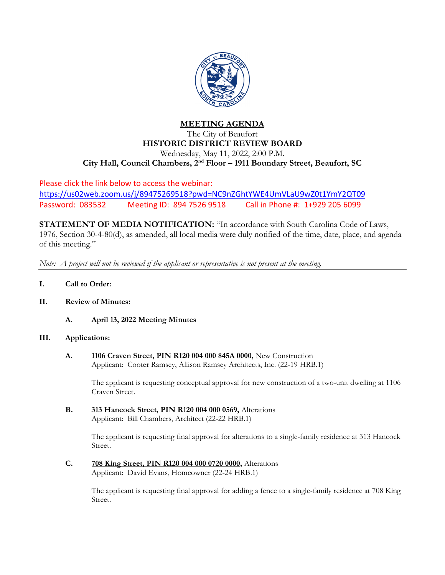

## **MEETING AGENDA** The City of Beaufort **HISTORIC DISTRICT REVIEW BOARD** Wednesday, May 11, 2022, 2:00 P.M. **City Hall, Council Chambers, 2nd Floor – 1911 Boundary Street, Beaufort, SC**

Please click the link below to access the webinar: <https://us02web.zoom.us/j/89475269518?pwd=NC9nZGhtYWE4UmVLaU9wZ0t1YmY2QT09> Password: 083532 Meeting ID: 894 7526 9518 Call in Phone #: 1+929 205 6099

**STATEMENT OF MEDIA NOTIFICATION:** "In accordance with South Carolina Code of Laws, 1976, Section 30-4-80(d), as amended, all local media were duly notified of the time, date, place, and agenda of this meeting."

*Note: A project will not be reviewed if the applicant or representative is not present at the meeting.*

- **I. Call to Order:**
- **II. Review of Minutes:**
	- **A. April 13, 2022 Meeting Minutes**

## **III. Applications:**

**A. 1106 Craven Street, PIN R120 004 000 845A 0000,** New Construction Applicant: Cooter Ramsey, Allison Ramsey Architects, Inc. (22-19 HRB.1)

The applicant is requesting conceptual approval for new construction of a two-unit dwelling at 1106 Craven Street.

**B. 313 Hancock Street, PIN R120 004 000 0569,** Alterations Applicant: Bill Chambers, Architect (22-22 HRB.1)

> The applicant is requesting final approval for alterations to a single-family residence at 313 Hancock Street.

**C. 708 King Street, PIN R120 004 000 0720 0000,** Alterations Applicant: David Evans, Homeowner (22-24 HRB.1)

> The applicant is requesting final approval for adding a fence to a single-family residence at 708 King Street.